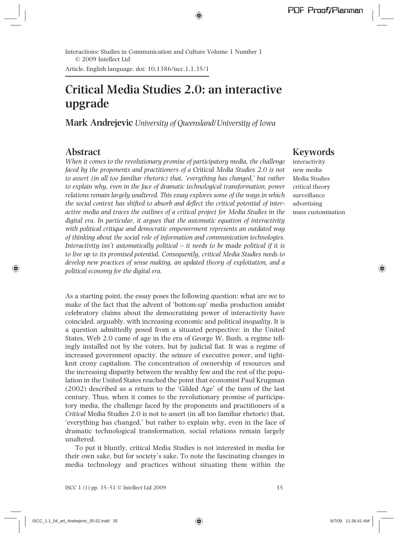# **Critical Media Studies 2.0: an interactive upgrade**

**Mark Andrejevic** *University of Queensland/University of Iowa*

### **Abstract**

*When it comes to the revolutionary promise of participatory media, the challenge faced by the proponents and practitioners of a* Critical *Media Studies 2.0 is not to assert (in all too familiar rhetoric) that, 'everything has changed,' but rather to explain why, even in the face of dramatic technological transformation, power relations remain largely unaltered. This essay explores some of the ways in which the social context has shifted to absorb and deflect the critical potential of interactive media and traces the outlines of a critical project for Media Studies in the digital era. In particular, it argues that the automatic equation of interactivity with political critique and democratic empowerment represents an outdated way of thinking about the social role of information and communication technologies. Interactivity isn't automatically political – it needs to be* made *political if it is to live up to its promised potential. Consequently, critical Media Studies needs to develop new practices of sense making, an updated theory of exploitation, and a political economy for the digital era.* 

As a starting point, the essay poses the following question: what are we to make of the fact that the advent of 'bottom-up' media production amidst celebratory claims about the democratizing power of interactivity have coincided, arguably, with increasing economic and political *inequality*. It is a question admittedly posed from a situated perspective: in the United States, Web 2.0 came of age in the era of George W. Bush, a regime tellingly installed not by the voters, but by judicial fiat. It was a regime of increased government opacity, the seizure of executive power, and tightknit crony capitalism. The concentration of ownership of resources and the increasing disparity between the wealthy few and the rest of the population in the United States reached the point that economist Paul Krugman (2002) described as a return to the 'Gilded Age' of the turn of the last century. Thus, when it comes to the revolutionary promise of participatory media, the challenge faced by the proponents and practitioners of a *Critical* Media Studies 2.0 is not to assert (in all too familiar rhetoric) that, 'everything has changed,' but rather to explain why, even in the face of dramatic technological transformation, social relations remain largely unaltered.

To put it bluntly, critical Media Studies is not interested in media for their own sake, but for society's sake. To note the fascinating changes in media technology and practices without situating them within the

## **Keywords**

interactivity new media Media Studies critical theory surveillance advertising mass customization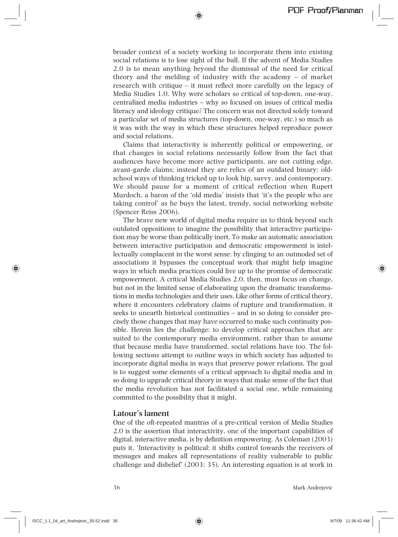broader context of a society working to incorporate them into existing social relations is to lose sight of the ball. If the advent of Media Studies 2.0 is to mean anything beyond the dismissal of the need for critical theory and the melding of industry with the academy – of market research with critique – it must reflect more carefully on the legacy of Media Studies 1.0. Why were scholars so critical of top-down, one-way, centralized media industries – why so focused on issues of critical media literacy and ideology critique? The concern was not directed solely toward a particular set of media structures (top-down, one-way, etc.) so much as it was with the way in which these structures helped reproduce power and social relations.

Claims that interactivity is inherently political or empowering, or that changes in social relations necessarily follow from the fact that audiences have become more active participants, are not cutting edge, avant-garde claims; instead they are relics of an outdated binary: oldschool ways of thinking tricked up to look hip, savvy, and contemporary. We should pause for a moment of critical reflection when Rupert Murdoch, a baron of the 'old media' insists that 'it's the people who are taking control' as he buys the latest, trendy, social networking website (Spencer Reiss 2006).

The brave new world of digital media require us to think beyond such outdated oppositions to imagine the possibility that interactive participation may be worse than politically inert. To make an automatic association between interactive participation and democratic empowerment is intellectually complacent in the worst sense: by clinging to an outmoded set of associations it bypasses the conceptual work that might help imagine ways in which media practices could live up to the promise of democratic empowerment. A critical Media Studies 2.0, then, must focus on change, but not in the limited sense of elaborating upon the dramatic transformations in media technologies and their uses. Like other forms of critical theory, where it encounters celebratory claims of rupture and transformation, it seeks to unearth historical continuities – and in so doing to consider precisely those changes that may have occurred to make such continuity possible. Herein lies the challenge: to develop critical approaches that are suited to the contemporary media environment, rather than to assume that because media have transformed, social relations have too. The following sections attempt to outline ways in which society has adjusted to incorporate digital media in ways that preserve power relations. The goal is to suggest some elements of a critical approach to digital media and in so doing to upgrade critical theory in ways that make sense of the fact that the media revolution has not facilitated a social one, while remaining committed to the possibility that it might.

#### **Latour's lament**

One of the oft-repeated mantras of a pre-critical version of Media Studies 2.0 is the assertion that interactivity, one of the important capabilities of digital, interactive media, is by definition empowering. As Coleman (2003) puts it, 'Interactivity is political: it shifts control towards the receivers of messages and makes all representations of reality vulnerable to public challenge and disbelief' (2003: 35). An interesting equation is at work in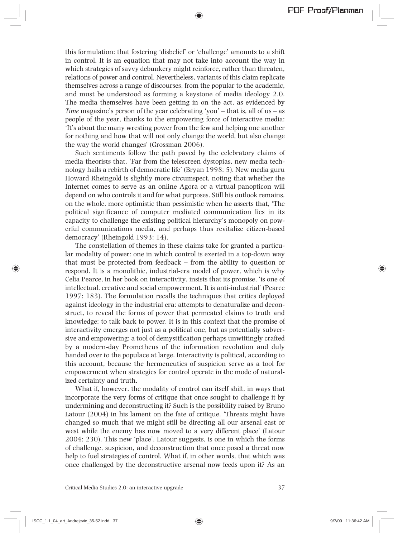this formulation: that fostering 'disbelief' or 'challenge' amounts to a shift in control. It is an equation that may not take into account the way in which strategies of savvy debunkery might reinforce, rather than threaten, relations of power and control. Nevertheless, variants of this claim replicate themselves across a range of discourses, from the popular to the academic, and must be understood as forming a keystone of media ideology 2.0. The media themselves have been getting in on the act, as evidenced by *Time* magazine's person of the year celebrating 'you' – that is, all of us – as people of the year, thanks to the empowering force of interactive media: 'It's about the many wresting power from the few and helping one another for nothing and how that will not only change the world, but also change the way the world changes' (Grossman 2006).

Such sentiments follow the path paved by the celebratory claims of media theorists that, 'Far from the telescreen dystopias, new media technology hails a rebirth of democratic life' (Bryan 1998: 5). New media guru Howard Rheingold is slightly more circumspect, noting that whether the Internet comes to serve as an online Agora or a virtual panopticon will depend on who controls it and for what purposes. Still his outlook remains, on the whole, more optimistic than pessimistic when he asserts that, 'The political significance of computer mediated communication lies in its capacity to challenge the existing political hierarchy's monopoly on powerful communications media, and perhaps thus revitalize citizen-based democracy' (Rheingold 1993: 14).

The constellation of themes in these claims take for granted a particular modality of power: one in which control is exerted in a top-down way that must be protected from feedback – from the ability to question or respond. It is a monolithic, industrial-era model of power, which is why Celia Pearce, in her book on interactivity, insists that its promise, 'is one of intellectual, creative and social empowerment. It is anti-industrial' (Pearce 1997: 183). The formulation recalls the techniques that critics deployed against ideology in the industrial era: attempts to denaturalize and deconstruct, to reveal the forms of power that permeated claims to truth and knowledge: to talk back to power. It is in this context that the promise of interactivity emerges not just as a political one, but as potentially subversive and empowering: a tool of demystification perhaps unwittingly crafted by a modern-day Prometheus of the information revolution and duly handed over to the populace at large. Interactivity is political, according to this account, because the hermeneutics of suspicion serve as a tool for empowerment when strategies for control operate in the mode of naturalized certainty and truth.

What if, however, the modality of control can itself shift, in ways that incorporate the very forms of critique that once sought to challenge it by undermining and deconstructing it? Such is the possibility raised by Bruno Latour (2004) in his lament on the fate of critique, 'Threats might have changed so much that we might still be directing all our arsenal east or west while the enemy has now moved to a very different place' (Latour 2004: 230). This new 'place', Latour suggests, is one in which the forms of challenge, suspicion, and deconstruction that once posed a threat now help to fuel strategies of control. What if, in other words, that which was once challenged by the deconstructive arsenal now feeds upon it? As an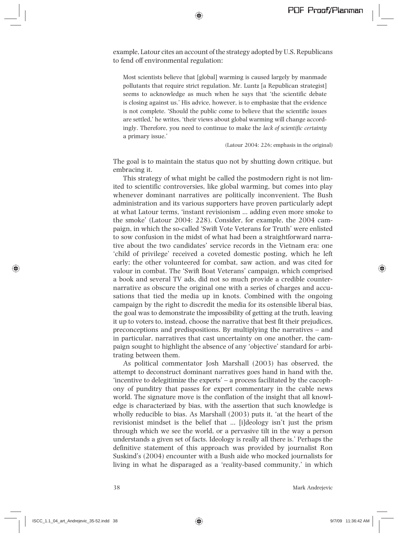example, Latour cites an account of the strategy adopted by U.S. Republicans to fend off environmental regulation:

Most scientists believe that [global] warming is caused largely by manmade pollutants that require strict regulation. Mr. Luntz [a Republican strategist] seems to acknowledge as much when he says that 'the scientific debate is closing against us.' His advice, however, is to emphasize that the evidence is not complete. 'Should the public come to believe that the scientific issues are settled,' he writes, 'their views about global warming will change accordingly. Therefore, you need to continue to make the *lack of scientific certainty*  a primary issue.'

(Latour 2004: 226; emphasis in the original)

The goal is to maintain the status quo not by shutting down critique, but embracing it.

This strategy of what might be called the postmodern right is not limited to scientific controversies, like global warming, but comes into play whenever dominant narratives are politically inconvenient. The Bush administration and its various supporters have proven particularly adept at what Latour terms, 'instant revisionism … adding even more smoke to the smoke' (Latour 2004: 228). Consider, for example, the 2004 campaign, in which the so-called 'Swift Vote Veterans for Truth' were enlisted to sow confusion in the midst of what had been a straightforward narrative about the two candidates' service records in the Vietnam era: one 'child of privilege' received a coveted domestic posting, which he left early; the other volunteered for combat, saw action, and was cited for valour in combat. The 'Swift Boat Veterans' campaign, which comprised a book and several TV ads, did not so much provide a credible counternarrative as obscure the original one with a series of charges and accusations that tied the media up in knots. Combined with the ongoing campaign by the right to discredit the media for its ostensible liberal bias, the goal was to demonstrate the impossibility of getting at the truth, leaving it up to voters to, instead, choose the narrative that best fit their prejudices, preconceptions and predispositions. By multiplying the narratives – and in particular, narratives that cast uncertainty on one another, the campaign sought to highlight the absence of any 'objective' standard for arbitrating between them.

As political commentator Josh Marshall (2003) has observed, the attempt to deconstruct dominant narratives goes hand in hand with the, 'incentive to delegitimize the experts' – a process facilitated by the cacophony of punditry that passes for expert commentary in the cable news world. The signature move is the conflation of the insight that all knowledge is characterized by bias, with the assertion that such knowledge is wholly reducible to bias. As Marshall (2003) puts it, 'at the heart of the revisionist mindset is the belief that … [i]deology isn't just the prism through which we see the world, or a pervasive tilt in the way a person understands a given set of facts. Ideology is really all there is.' Perhaps the definitive statement of this approach was provided by journalist Ron Suskind's (2004) encounter with a Bush aide who mocked journalists for living in what he disparaged as a 'reality-based community,' in which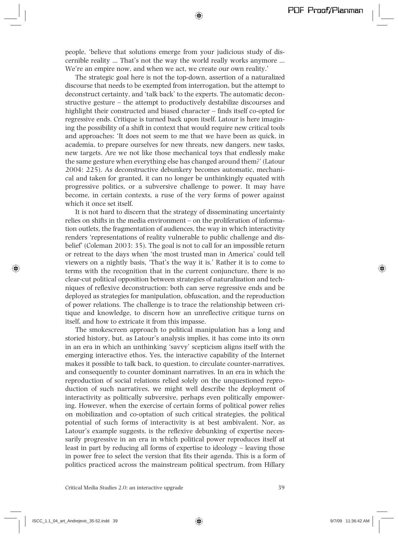people, 'believe that solutions emerge from your judicious study of discernible reality … That's not the way the world really works anymore … We're an empire now, and when we act, we create our own reality.'

The strategic goal here is not the top-down, assertion of a naturalized discourse that needs to be exempted from interrogation, but the attempt to deconstruct certainty, and 'talk back' to the experts. The automatic deconstructive gesture – the attempt to productively destabilize discourses and highlight their constructed and biased character – finds itself co-opted for regressive ends. Critique is turned back upon itself. Latour is here imagining the possibility of a shift in context that would require new critical tools and approaches: 'It does not seem to me that we have been as quick, in academia, to prepare ourselves for new threats, new dangers, new tasks, new targets. Are we not like those mechanical toys that endlessly make the same gesture when everything else has changed around them?' (Latour 2004: 225). As deconstructive debunkery becomes automatic, mechanical and taken for granted, it can no longer be unthinkingly equated with progressive politics, or a subversive challenge to power. It may have become, in certain contexts, a ruse of the very forms of power against which it once set itself.

It is not hard to discern that the strategy of disseminating uncertainty relies on shifts in the media environment – on the proliferation of information outlets, the fragmentation of audiences, the way in which interactivity renders 'representations of reality vulnerable to public challenge and disbelief' (Coleman 2003: 35). The goal is not to call for an impossible return or retreat to the days when 'the most trusted man in America' could tell viewers on a nightly basis, 'That's the way it is.' Rather it is to come to terms with the recognition that in the current conjuncture, there is no clear-cut political opposition between strategies of naturalization and techniques of reflexive deconstruction: both can serve regressive ends and be deployed as strategies for manipulation, obfuscation, and the reproduction of power relations. The challenge is to trace the relationship between critique and knowledge, to discern how an unreflective critique turns on itself, and how to extricate it from this impasse.

The smokescreen approach to political manipulation has a long and storied history, but, as Latour's analysis implies, it has come into its own in an era in which an unthinking 'savvy' scepticism aligns itself with the emerging interactive ethos. Yes, the interactive capability of the Internet makes it possible to talk back, to question, to circulate counter-narratives, and consequently to counter dominant narratives. In an era in which the reproduction of social relations relied solely on the unquestioned reproduction of such narratives, we might well describe the deployment of interactivity as politically subversive, perhaps even politically empowering. However, when the exercise of certain forms of political power relies on mobilization and co-optation of such critical strategies, the political potential of such forms of interactivity is at best ambivalent. Nor, as Latour's example suggests, is the reflexive debunking of expertise necessarily progressive in an era in which political power reproduces itself at least in part by reducing all forms of expertise to ideology – leaving those in power free to select the version that fits their agenda. This is a form of politics practiced across the mainstream political spectrum, from Hillary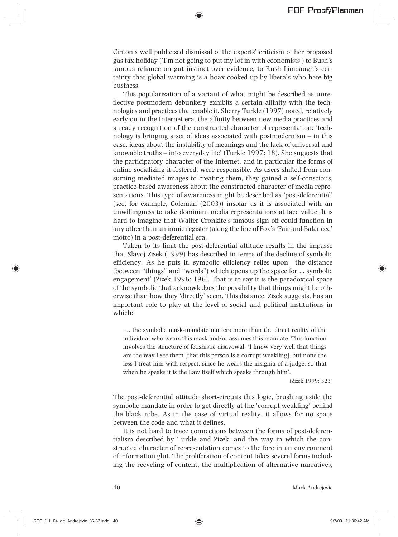Cinton's well publicized dismissal of the experts' criticism of her proposed gas tax holiday ('I'm not going to put my lot in with economists') to Bush's famous reliance on gut instinct over evidence, to Rush Limbaugh's certainty that global warming is a hoax cooked up by liberals who hate big business.

This popularization of a variant of what might be described as unreflective postmodern debunkery exhibits a certain affinity with the technologies and practices that enable it. Sherry Turkle (1997) noted, relatively early on in the Internet era, the affinity between new media practices and a ready recognition of the constructed character of representation: 'technology is bringing a set of ideas associated with postmodernism – in this case, ideas about the instability of meanings and the lack of universal and knowable truths – into everyday life' (Turkle 1997: 18). She suggests that the participatory character of the Internet, and in particular the forms of online socializing it fostered, were responsible. As users shifted from consuming mediated images to creating them, they gained a self-conscious, practice-based awareness about the constructed character of media representations. This type of awareness might be described as 'post-deferential' (see, for example, Coleman (2003)) insofar as it is associated with an unwillingness to take dominant media representations at face value. It is hard to imagine that Walter Cronkite's famous sign off could function in any other than an ironic register (along the line of Fox's 'Fair and Balanced' motto) in a post-deferential era.

Taken to its limit the post-deferential attitude results in the impasse that Slavoj Zizek (1999) has described in terms of the decline of symbolic efficiency. As he puts it, symbolic efficiency relies upon, 'the distance (between "things" and "words") which opens up the space for … symbolic engagement' (Zizek 1996: 196). That is to say it is the paradoxical space of the symbolic that acknowledges the possibility that things might be otherwise than how they 'directly' seem. This distance, Zizek suggests, has an important role to play at the level of social and political institutions in which:

 … the symbolic mask-mandate matters more than the direct reality of the individual who wears this mask and/or assumes this mandate. This function involves the structure of fetishistic disavowal: 'I know very well that things are the way I see them [that this person is a corrupt weakling], but none the less I treat him with respect, since he wears the insignia of a judge, so that when he speaks it is the Law itself which speaks through him'.

(Zizek 1999: 323)

The post-deferential attitude short-circuits this logic, brushing aside the symbolic mandate in order to get directly at the 'corrupt weakling' behind the black robe. As in the case of virtual reality, it allows for no space between the code and what it defines.

It is not hard to trace connections between the forms of post-deferentialism described by Turkle and Zizek, and the way in which the constructed character of representation comes to the fore in an environment of information glut. The proliferation of content takes several forms including the recycling of content, the multiplication of alternative narratives,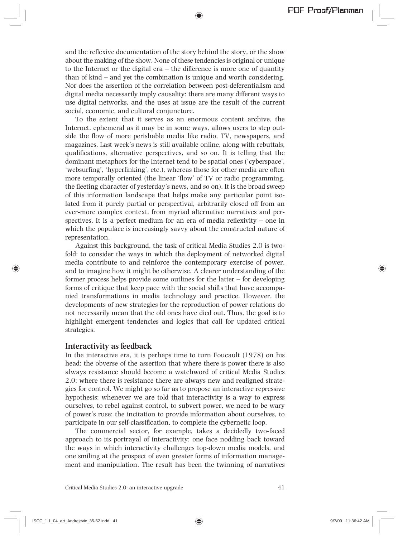and the reflexive documentation of the story behind the story, or the show about the making of the show. None of these tendencies is original or unique to the Internet or the digital era – the difference is more one of quantity than of kind – and yet the combination is unique and worth considering. Nor does the assertion of the correlation between post-deferentialism and digital media necessarily imply causality: there are many different ways to use digital networks, and the uses at issue are the result of the current social, economic, and cultural conjuncture.

To the extent that it serves as an enormous content archive, the Internet, ephemeral as it may be in some ways, allows users to step outside the flow of more perishable media like radio, TV, newspapers, and magazines. Last week's news is still available online, along with rebuttals, qualifications, alternative perspectives, and so on. It is telling that the dominant metaphors for the Internet tend to be spatial ones ('cyberspace', 'websurfing', 'hyperlinking', etc.), whereas those for other media are often more temporally oriented (the linear 'flow' of TV or radio programming, the fleeting character of yesterday's news, and so on). It is the broad sweep of this information landscape that helps make any particular point isolated from it purely partial or perspectival, arbitrarily closed off from an ever-more complex context, from myriad alternative narratives and perspectives. It is a perfect medium for an era of media reflexivity – one in which the populace is increasingly savvy about the constructed nature of representation.

Against this background, the task of critical Media Studies 2.0 is twofold: to consider the ways in which the deployment of networked digital media contribute to and reinforce the contemporary exercise of power, and to imagine how it might be otherwise. A clearer understanding of the former process helps provide some outlines for the latter – for developing forms of critique that keep pace with the social shifts that have accompanied transformations in media technology and practice. However, the developments of new strategies for the reproduction of power relations do not necessarily mean that the old ones have died out. Thus, the goal is to highlight emergent tendencies and logics that call for updated critical strategies.

#### **Interactivity as feedback**

In the interactive era, it is perhaps time to turn Foucault (1978) on his head: the obverse of the assertion that where there is power there is also always resistance should become a watchword of critical Media Studies 2.0: where there is resistance there are always new and realigned strategies for control. We might go so far as to propose an interactive repressive hypothesis: whenever we are told that interactivity is a way to express ourselves, to rebel against control, to subvert power, we need to be wary of power's ruse: the incitation to provide information about ourselves, to participate in our self-classification, to complete the cybernetic loop.

The commercial sector, for example, takes a decidedly two-faced approach to its portrayal of interactivity: one face nodding back toward the ways in which interactivity challenges top-down media models, and one smiling at the prospect of even greater forms of information management and manipulation. The result has been the twinning of narratives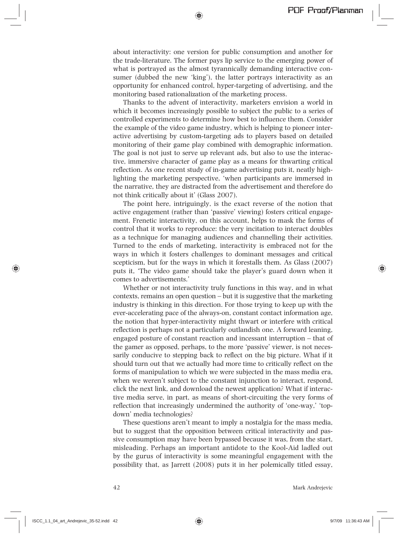about interactivity: one version for public consumption and another for the trade-literature. The former pays lip service to the emerging power of what is portrayed as the almost tyrannically demanding interactive consumer (dubbed the new 'king'), the latter portrays interactivity as an opportunity for enhanced control, hyper-targeting of advertising, and the monitoring based rationalization of the marketing process.

Thanks to the advent of interactivity, marketers envision a world in which it becomes increasingly possible to subject the public to a series of controlled experiments to determine how best to influence them. Consider the example of the video game industry, which is helping to pioneer interactive advertising by custom-targeting ads to players based on detailed monitoring of their game play combined with demographic information. The goal is not just to serve up relevant ads, but also to use the interactive, immersive character of game play as a means for thwarting critical reflection. As one recent study of in-game advertising puts it, neatly highlighting the marketing perspective, 'when participants are immersed in the narrative, they are distracted from the advertisement and therefore do not think critically about it' (Glass 2007).

The point here, intriguingly, is the exact reverse of the notion that active engagement (rather than 'passive' viewing) fosters critical engagement. Frenetic interactivity, on this account, helps to mask the forms of control that it works to reproduce: the very incitation to interact doubles as a technique for managing audiences and channelling their activities. Turned to the ends of marketing, interactivity is embraced not for the ways in which it fosters challenges to dominant messages and critical scepticism, but for the ways in which it forestalls them. As Glass (2007) puts it, 'The video game should take the player's guard down when it comes to advertisements.'

Whether or not interactivity truly functions in this way, and in what contexts, remains an open question – but it is suggestive that the marketing industry is thinking in this direction. For those trying to keep up with the ever-accelerating pace of the always-on, constant contact information age, the notion that hyper-interactivity might thwart or interfere with critical reflection is perhaps not a particularly outlandish one. A forward leaning, engaged posture of constant reaction and incessant interruption – that of the gamer as opposed, perhaps, to the more 'passive' viewer, is not necessarily conducive to stepping back to reflect on the big picture. What if it should turn out that we actually had more time to critically reflect on the forms of manipulation to which we were subjected in the mass media era, when we weren't subject to the constant injunction to interact, respond, click the next link, and download the newest application? What if interactive media serve, in part, as means of short-circuiting the very forms of reflection that increasingly undermined the authority of 'one-way,' 'topdown' media technologies?

These questions aren't meant to imply a nostalgia for the mass media, but to suggest that the opposition between critical interactivity and passive consumption may have been bypassed because it was, from the start, misleading. Perhaps an important antidote to the Kool-Aid ladled out by the gurus of interactivity is some meaningful engagement with the possibility that, as Jarrett (2008) puts it in her polemically titled essay,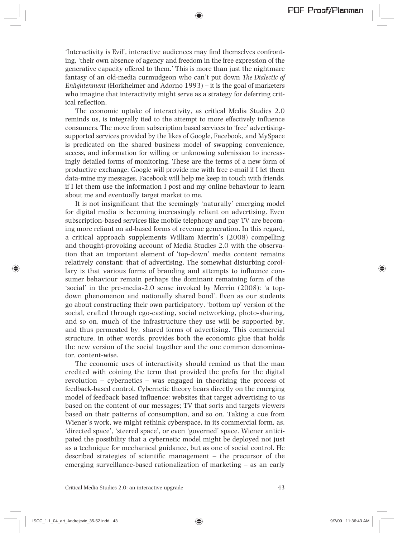'Interactivity is Evil', interactive audiences may find themselves confronting, 'their own absence of agency and freedom in the free expression of the generative capacity offered to them.' This is more than just the nightmare fantasy of an old-media curmudgeon who can't put down *The Dialectic of Enlightenment* (Horkheimer and Adorno 1993) – it is the goal of marketers who imagine that interactivity might serve as a strategy for deferring critical reflection.

The economic uptake of interactivity, as critical Media Studies 2.0 reminds us, is integrally tied to the attempt to more effectively influence consumers. The move from subscription based services to 'free' advertisingsupported services provided by the likes of Google, Facebook, and MySpace is predicated on the shared business model of swapping convenience, access, and information for willing or unknowing submission to increasingly detailed forms of monitoring. These are the terms of a new form of productive exchange: Google will provide me with free e-mail if I let them data-mine my messages, Facebook will help me keep in touch with friends, if I let them use the information I post and my online behaviour to learn about me and eventually target market to me.

It is not insignificant that the seemingly 'naturally' emerging model for digital media is becoming increasingly reliant on advertising. Even subscription-based services like mobile telephony and pay TV are becoming more reliant on ad-based forms of revenue generation. In this regard, a critical approach supplements William Merrin's (2008) compelling and thought-provoking account of Media Studies 2.0 with the observation that an important element of 'top-down' media content remains relatively constant: that of advertising. The somewhat disturbing corollary is that various forms of branding and attempts to influence consumer behaviour remain perhaps the dominant remaining form of the 'social' in the pre-media-2.0 sense invoked by Merrin (2008): 'a topdown phenomenon and nationally shared bond'. Even as our students go about constructing their own participatory, 'bottom up' version of the social, crafted through ego-casting, social networking, photo-sharing, and so on, much of the infrastructure they use will be supported by, and thus permeated by, shared forms of advertising. This commercial structure, in other words, provides both the economic glue that holds the new version of the social together and the one common denominator, content-wise.

The economic uses of interactivity should remind us that the man credited with coining the term that provided the prefix for the digital revolution – cybernetics – was engaged in theorizing the process of feedback-based control. Cybernetic theory bears directly on the emerging model of feedback based influence: websites that target advertising to us based on the content of our messages; TV that sorts and targets viewers based on their patterns of consumption, and so on. Taking a cue from Wiener's work, we might rethink cyberspace, in its commercial form, as, 'directed space', 'steered space', or even 'governed' space. Wiener anticipated the possibility that a cybernetic model might be deployed not just as a technique for mechanical guidance, but as one of social control. He described strategies of scientific management – the precursor of the emerging surveillance-based rationalization of marketing – as an early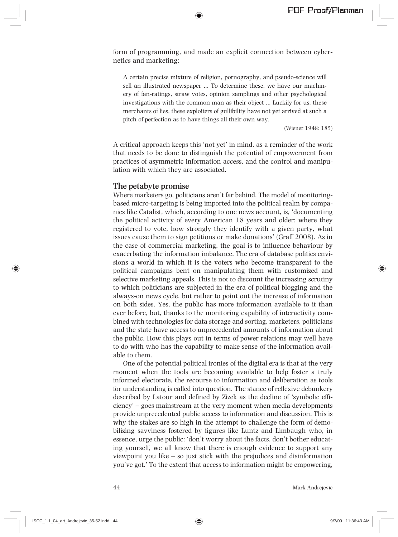form of programming, and made an explicit connection between cybernetics and marketing:

A certain precise mixture of religion, pornography, and pseudo-science will sell an illustrated newspaper … To determine these, we have our machinery of fan-ratings, straw votes, opinion samplings and other psychological investigations with the common man as their object … Luckily for us, these merchants of lies, these exploiters of gullibility have not yet arrived at such a pitch of perfection as to have things all their own way.

(Wiener 1948: 185)

A critical approach keeps this 'not yet' in mind, as a reminder of the work that needs to be done to distinguish the potential of empowerment from practices of asymmetric information access, and the control and manipulation with which they are associated.

#### **The petabyte promise**

Where marketers go, politicians aren't far behind. The model of monitoringbased micro-targeting is being imported into the political realm by companies like Catalist, which, according to one news account, is, 'documenting the political activity of every American 18 years and older: where they registered to vote, how strongly they identify with a given party, what issues cause them to sign petitions or make donations' (Graff 2008). As in the case of commercial marketing, the goal is to influence behaviour by exacerbating the information imbalance. The era of database politics envisions a world in which it is the voters who become transparent to the political campaigns bent on manipulating them with customized and selective marketing appeals. This is not to discount the increasing scrutiny to which politicians are subjected in the era of political blogging and the always-on news cycle, but rather to point out the increase of information on both sides. Yes, the public has more information available to it than ever before, but, thanks to the monitoring capability of interactivity combined with technologies for data storage and sorting, marketers, politicians and the state have access to unprecedented amounts of information about the public. How this plays out in terms of power relations may well have to do with who has the capability to make sense of the information available to them.

One of the potential political ironies of the digital era is that at the very moment when the tools are becoming available to help foster a truly informed electorate, the recourse to information and deliberation as tools for understanding is called into question. The stance of reflexive debunkery described by Latour and defined by Zizek as the decline of 'symbolic efficiency' – goes mainstream at the very moment when media developments provide unprecedented public access to information and discussion. This is why the stakes are so high in the attempt to challenge the form of demobilizing savviness fostered by figures like Luntz and Limbaugh who, in essence, urge the public: 'don't worry about the facts, don't bother educating yourself, we all know that there is enough evidence to support any viewpoint you like – so just stick with the prejudices and disinformation you've got.' To the extent that access to information might be empowering,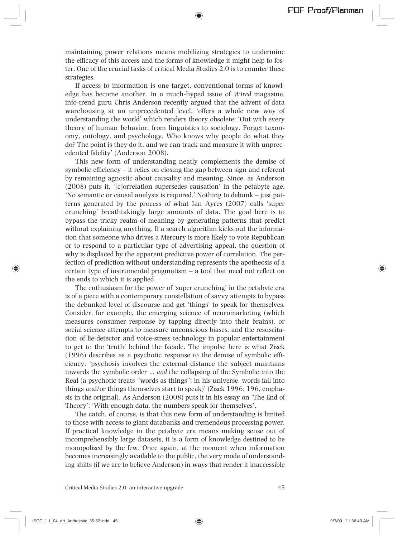maintaining power relations means mobilizing strategies to undermine the efficacy of this access and the forms of knowledge it might help to foster. One of the crucial tasks of critical Media Studies 2.0 is to counter these strategies.

If access to information is one target, conventional forms of knowledge has become another. In a much-hyped issue of *Wired* magazine, info-trend guru Chris Anderson recently argued that the advent of data warehousing at an unprecedented level, 'offers a whole new way of understanding the world' which renders theory obsolete: 'Out with every theory of human behavior, from linguistics to sociology. Forget taxonomy, ontology, and psychology. Who knows why people do what they do? The point is they do it, and we can track and measure it with unprecedented fidelity' (Anderson 2008).

This new form of understanding neatly complements the demise of symbolic efficiency – it relies on closing the gap between sign and referent by remaining agnostic about causality and meaning. Since, as Anderson (2008) puts it, '[c]orrelation supersedes causation' in the petabyte age, 'No semantic or causal analysis is required.' Nothing to debunk – just patterns generated by the process of what Ian Ayres (2007) calls 'super crunching' breathtakingly large amounts of data. The goal here is to bypass the tricky realm of meaning by generating patterns that predict without explaining anything. If a search algorithm kicks out the information that someone who drives a Mercury is more likely to vote Republican or to respond to a particular type of advertising appeal, the question of why is displaced by the apparent predictive power of correlation. The perfection of prediction without understanding represents the apotheosis of a certain type of instrumental pragmatism – a tool that need not reflect on the ends to which it is applied.

The enthusiasm for the power of 'super crunching' in the petabyte era is of a piece with a contemporary constellation of savvy attempts to bypass the debunked level of discourse and get 'things' to speak for themselves. Consider, for example, the emerging science of neuromarketing (which measures consumer response by tapping directly into their brains), or social science attempts to measure unconscious biases, and the resuscitation of lie-detector and voice-stress technology in popular entertainment to get to the 'truth' behind the facade. The impulse here is what Zizek (1996) describes as a psychotic response to the demise of symbolic efficiency: 'psychosis involves the external distance the subject maintains towards the symbolic order … *and* the collapsing of the Symbolic into the Real (a psychotic treats "words as things"; in his universe, words fall into things and/or things themselves start to speak)' (Zizek 1996: 196, emphasis in the original). As Anderson (2008) puts it in his essay on 'The End of Theory': 'With enough data, the numbers speak for themselves'.

The catch, of course, is that this new form of understanding is limited to those with access to giant databanks and tremendous processing power. If practical knowledge in the petabyte era means making sense out of incomprehensibly large datasets, it is a form of knowledge destined to be monopolized by the few. Once again, at the moment when information becomes increasingly available to the public, the very mode of understanding shifts (if we are to believe Anderson) in ways that render it inaccessible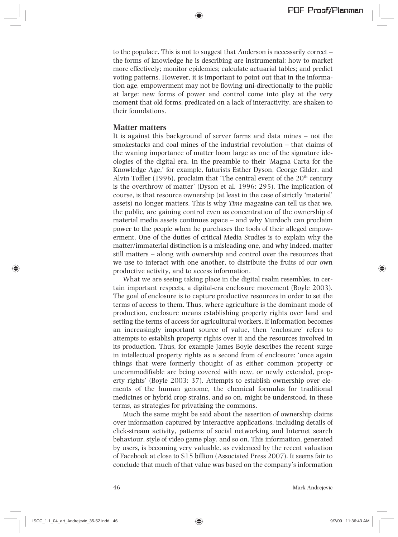to the populace. This is not to suggest that Anderson is necessarily correct – the forms of knowledge he is describing are instrumental: how to market more effectively; monitor epidemics; calculate actuarial tables; and predict voting patterns. However, it is important to point out that in the information age, empowerment may not be flowing uni-directionally to the public at large: new forms of power and control come into play at the very moment that old forms, predicated on a lack of interactivity, are shaken to their foundations.

#### **Matter matters**

It is against this background of server farms and data mines – not the smokestacks and coal mines of the industrial revolution – that claims of the waning importance of matter loom large as one of the signature ideologies of the digital era. In the preamble to their 'Magna Carta for the Knowledge Age,' for example, futurists Esther Dyson, George Gilder, and Alvin Toffler (1996), proclaim that 'The central event of the  $20<sup>th</sup>$  century is the overthrow of matter' (Dyson et al. 1996: 295). The implication of course, is that resource ownership (at least in the case of strictly 'material' assets) no longer matters. This is why *Time* magazine can tell us that we, the public, are gaining control even as concentration of the ownership of material media assets continues apace – and why Murdoch can proclaim power to the people when he purchases the tools of their alleged empowerment. One of the duties of critical Media Studies is to explain why the matter/immaterial distinction is a misleading one, and why indeed, matter still matters – along with ownership and control over the resources that we use to interact with one another, to distribute the fruits of our own productive activity, and to access information.

What we are seeing taking place in the digital realm resembles, in certain important respects, a digital-era enclosure movement (Boyle 2003). The goal of enclosure is to capture productive resources in order to set the terms of access to them. Thus, where agriculture is the dominant mode of production, enclosure means establishing property rights over land and setting the terms of access for agricultural workers. If information becomes an increasingly important source of value, then 'enclosure' refers to attempts to establish property rights over it and the resources involved in its production. Thus, for example James Boyle describes the recent surge in intellectual property rights as a second from of enclosure: 'once again things that were formerly thought of as either common property or uncommodifiable are being covered with new, or newly extended, property rights' (Boyle 2003: 37). Attempts to establish ownership over elements of the human genome, the chemical formulas for traditional medicines or hybrid crop strains, and so on, might be understood, in these terms, as strategies for privatizing the commons.

Much the same might be said about the assertion of ownership claims over information captured by interactive applications, including details of click-stream activity, patterns of social networking and Internet search behaviour, style of video game play, and so on. This information, generated by users, is becoming very valuable, as evidenced by the recent valuation of Facebook at close to \$15 billion (Associated Press 2007). It seems fair to conclude that much of that value was based on the company's information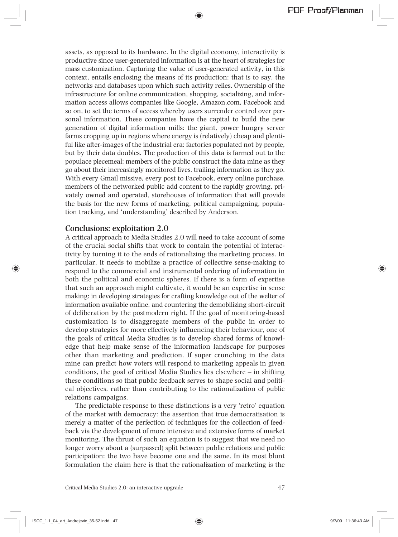assets, as opposed to its hardware. In the digital economy, interactivity is productive since user-generated information is at the heart of strategies for mass customization. Capturing the value of user-generated activity, in this context, entails enclosing the means of its production: that is to say, the networks and databases upon which such activity relies. Ownership of the infrastructure for online communication, shopping, socializing, and information access allows companies like Google, Amazon.com, Facebook and so on, to set the terms of access whereby users surrender control over personal information. These companies have the capital to build the new generation of digital information mills: the giant, power hungry server farms cropping up in regions where energy is (relatively) cheap and plentiful like after-images of the industrial era: factories populated not by people, but by their data doubles. The production of this data is farmed out to the populace piecemeal: members of the public construct the data mine as they go about their increasingly monitored lives, trailing information as they go. With every Gmail missive, every post to Facebook, every online purchase, members of the networked public add content to the rapidly growing, privately owned and operated, storehouses of information that will provide the basis for the new forms of marketing, political campaigning, population tracking, and 'understanding' described by Anderson.

#### **Conclusions: exploitation 2.0**

A critical approach to Media Studies 2.0 will need to take account of some of the crucial social shifts that work to contain the potential of interactivity by turning it to the ends of rationalizing the marketing process. In particular, it needs to mobilize a practice of collective sense-making to respond to the commercial and instrumental ordering of information in both the political and economic spheres. If there is a form of expertise that such an approach might cultivate, it would be an expertise in sense making: in developing strategies for crafting knowledge out of the welter of information available online, and countering the demobilizing short-circuit of deliberation by the postmodern right. If the goal of monitoring-based customization is to disaggregate members of the public in order to develop strategies for more effectively influencing their behaviour, one of the goals of critical Media Studies is to develop shared forms of knowledge that help make sense of the information landscape for purposes other than marketing and prediction. If super crunching in the data mine can predict how voters will respond to marketing appeals in given conditions, the goal of critical Media Studies lies elsewhere – in shifting these conditions so that public feedback serves to shape social and political objectives, rather than contributing to the rationalization of public relations campaigns.

The predictable response to these distinctions is a very 'retro' equation of the market with democracy: the assertion that true democratisation is merely a matter of the perfection of techniques for the collection of feedback via the development of more intensive and extensive forms of market monitoring. The thrust of such an equation is to suggest that we need no longer worry about a (surpassed) split between public relations and public participation: the two have become one and the same. In its most blunt formulation the claim here is that the rationalization of marketing is the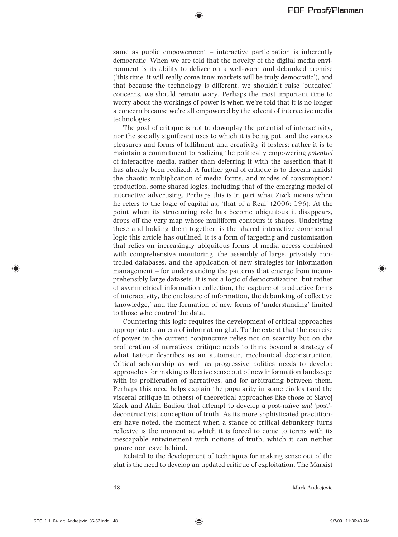same as public empowerment – interactive participation is inherently democratic. When we are told that the novelty of the digital media environment is its ability to deliver on a well-worn and debunked promise ('this time, it will really come true: markets will be truly democratic'), and that because the technology is different, we shouldn't raise 'outdated' concerns, we should remain wary. Perhaps the most important time to worry about the workings of power is when we're told that it is no longer a concern because we're all empowered by the advent of interactive media technologies.

The goal of critique is not to downplay the potential of interactivity, nor the socially significant uses to which it is being put, and the various pleasures and forms of fulfilment and creativity it fosters; rather it is to maintain a commitment to realizing the politically empowering *potential* of interactive media, rather than deferring it with the assertion that it has already been realized. A further goal of critique is to discern amidst the chaotic multiplication of media forms, and modes of consumption/ production, some shared logics, including that of the emerging model of interactive advertising. Perhaps this is in part what Zizek means when he refers to the logic of capital as, 'that of a Real' (2006: 196): At the point when its structuring role has become ubiquitous it disappears, drops off the very map whose multiform contours it shapes. Underlying these and holding them together, is the shared interactive commercial logic this article has outlined. It is a form of targeting and customization that relies on increasingly ubiquitous forms of media access combined with comprehensive monitoring, the assembly of large, privately controlled databases, and the application of new strategies for information management – for understanding the patterns that emerge from incomprehensibly large datasets. It is not a logic of democratization, but rather of asymmetrical information collection, the capture of productive forms of interactivity, the enclosure of information, the debunking of collective 'knowledge,' and the formation of new forms of 'understanding' limited to those who control the data.

Countering this logic requires the development of critical approaches appropriate to an era of information glut. To the extent that the exercise of power in the current conjuncture relies not on scarcity but on the proliferation of narratives, critique needs to think beyond a strategy of what Latour describes as an automatic, mechanical deconstruction. Critical scholarship as well as progressive politics needs to develop approaches for making collective sense out of new information landscape with its proliferation of narratives, and for arbitrating between them. Perhaps this need helps explain the popularity in some circles (and the visceral critique in others) of theoretical approaches like those of Slavoj Zizek and Alain Badiou that attempt to develop a post-naïve *and* 'post' decontructivist conception of truth. As its more sophisticated practitioners have noted, the moment when a stance of critical debunkery turns reflexive is the moment at which it is forced to come to terms with its inescapable entwinement with notions of truth, which it can neither ignore nor leave behind.

Related to the development of techniques for making sense out of the glut is the need to develop an updated critique of exploitation. The Marxist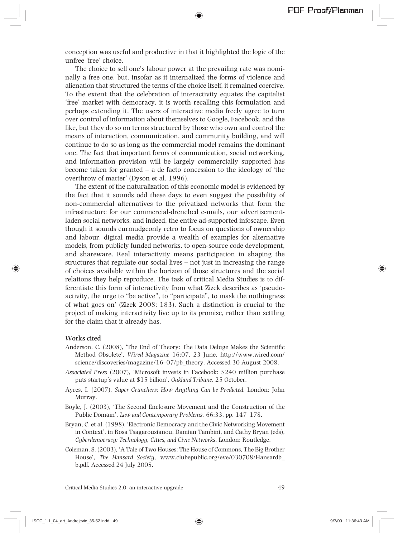conception was useful and productive in that it highlighted the logic of the unfree 'free' choice.

The choice to sell one's labour power at the prevailing rate was nominally a free one, but, insofar as it internalized the forms of violence and alienation that structured the terms of the choice itself, it remained coercive. To the extent that the celebration of interactivity equates the capitalist 'free' market with democracy, it is worth recalling this formulation and perhaps extending it. The users of interactive media freely agree to turn over control of information about themselves to Google, Facebook, and the like, but they do so on terms structured by those who own and control the means of interaction, communication, and community building, and will continue to do so as long as the commercial model remains the dominant one. The fact that important forms of communication, social networking, and information provision will be largely commercially supported has become taken for granted – a de facto concession to the ideology of 'the overthrow of matter' (Dyson et al. 1996).

The extent of the naturalization of this economic model is evidenced by the fact that it sounds odd these days to even suggest the possibility of non-commercial alternatives to the privatized networks that form the infrastructure for our commercial-drenched e-mails, our advertisementladen social networks, and indeed, the entire ad-supported infoscape. Even though it sounds curmudgeonly retro to focus on questions of ownership and labour, digital media provide a wealth of examples for alternative models, from publicly funded networks, to open-source code development, and shareware. Real interactivity means participation in shaping the structures that regulate our social lives – not just in increasing the range of choices available within the horizon of those structures and the social relations they help reproduce. The task of critical Media Studies is to differentiate this form of interactivity from what Zizek describes as 'pseudoactivity, the urge to "be active", to "participate", to mask the nothingness of what goes on' (Zizek 2008: 183). Such a distinction is crucial to the project of making interactivity live up to its promise, rather than settling for the claim that it already has.

#### **Works cited**

- Anderson, C. (2008), 'The End of Theory: The Data Deluge Makes the Scientific Method Obsolete', *Wired Magazine* 16:07, 23 June, http://www.wired.com/ science/discoveries/magazine/16–07/pb\_theory. Accessed 30 August 2008.
- *Associated Press* (2007), 'Microsoft invests in Facebook: \$240 million purchase puts startup's value at \$15 billion', *Oakland Tribune*, 25 October.
- Ayres, I. (2007), *Super Crunchers: How Anything Can be Predicted*, London: John Murray.
- Boyle, J. (2003), 'The Second Enclosure Movement and the Construction of the Public Domain', *Law and Contemporary Problems,* 66:33, pp. 147–178.
- Bryan, C. et al. (1998), 'Electronic Democracy and the Civic Networking Movement in Context', in Rosa Tsagarousianou, Damian Tambini, and Cathy Bryan (eds), *Cyberdemocracy: Technology, Cities, and Civic Networks*, London: Routledge.
- Coleman, S. (2003), 'A Tale of Two Houses: The House of Commons, The Big Brother House', *The Hansard Society*, www.clubepublic.org/eve/030708/Hansardb\_ b.pdf. Accessed 24 July 2005.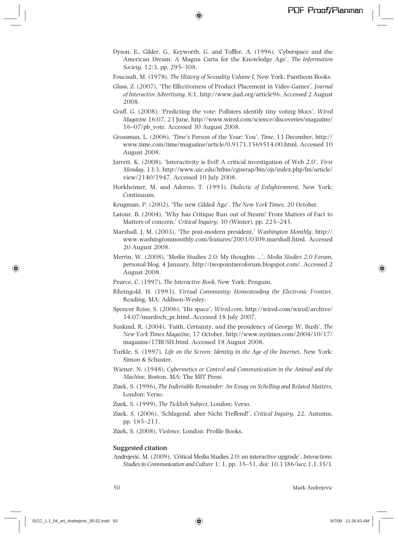- Dyson, E., Gilder, G., Keyworth, G. and Toffler, A. (1996), 'Cyberspace and the American Dream: A Magna Carta for the Knowledge Age', *The Information Society*, 12:3, pp. 295–308.
- Foucault, M. (1978), *The History of Sexuality Volume I*, New York: Pantheon Books.
- Glass, Z. (2007), 'The Effectiveness of Product Placement in Video Games', *Journal of Interactive Advertising*, 8:1, http://www.jiad.org/article96. Accessed 2 August 2008.
- Graff, G. (2008), 'Predicting the vote: Pollsters identify tiny voting blocs', *Wired Magazine* 16:07, 23 June, http://www.wired.com/science/discoveries/magazine/ 16–07/pb\_vote. Accessed 30 August 2008.
- Grossman, L. (2006), '*Time'*s Person of the Year: You', *Time*, 13 December, http:// www.time.com/time/magazine/article/0,9171,1569514,00.html. Accessed 10 August 2008.
- Jarrett, K. (2008), 'Interactivity is Evil! A critical investigation of Web 2.0', *First Monday*, 13:3, http://www.uic.edu/htbin/cgiwrap/bin/ojs/index.php/fm/article/ view/2140/1947. Accessed 10 July 2008.
- Horkheimer, M. and Adorno, T. (1993), *Dialectic of Enlightenment*, New York: Continuum.
- Krugman, P. (2002), 'The new Gilded Age', *The New York Times*, 20 October.
- Latour, B. (2004), 'Why has Critique Run out of Steam? From Matters of Fact to Matters of concern,' *Critical Inquiry,* 30 (Winter), pp. 225–245.
- Marshall, J. M. (2003), 'The post-modern president,' *Washington Monthly*, http:// www.washingtonmonthly.com/features/2003/0309.marshall.html. Accessed 20 August 2008.
- Merrin, W. (2008), 'Media Studies 2.0: My thoughts …', *Media Studies 2.0 Forum*, personal blog, 4 January, http://twopointzeroforum.blogspot.com/. Accessed 2 August 2008.
- Pearce, C. (1997), *The Interactive Book,* New York: Penguin.
- Rheingold, H. (1993), *Virtual Community: Homesteading the Electronic Frontier*, Reading, MA: Addison-Wesley.
- Spencer Reiss, S. (2006), 'His space', *Wired.com*, http://wired.com/wired/archive/ 14.07/murdoch\_pr.html. Accessed 18 July 2007.
- Suskind, R. (2004), 'Faith, Certainty, and the presidency of George W. Bush', *The New York Times Magazine*, 17 October, http://www.nytimes.com/2004/10/17/ magazine/17BUSH.html. Accessed 18 August 2008.
- Turkle, S. (1997), *Life on the Screen: Identity in the Age of the Internet*, New York: Simon & Schuster.
- Wiener, N. (1948), *Cybermetics or Control and Communication in the Animal and the Machine*, Boston, MA: The MIT Press.
- Zizek, S. (1996), *The Indivisible Remainder: An Essay on Schelling and Related Matters,*  London: Verso.
- Zizek, S. (1999), *The Ticklish Subject,* London: Verso.
- Zizek, S. (2006), 'Schlagend, aber Nicht Treffend!', *Critical Inquiry*, 22, Autumn, pp. 185–211.
- Zizek, S. (2008), *Violence*, London: Profile Books.

#### **Suggested citation**

Andrejevic, M. (2009), 'Critical Media Studies 2.0: an interactive upgrade', *Interactions: Studies in Communication and Culture* 1: 1, pp. 35–51, doi: 10.1386/iscc.1.1.35/1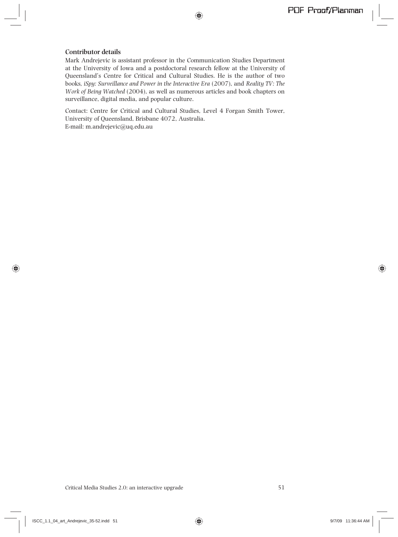#### **Contributor details**

Mark Andrejevic is assistant professor in the Communication Studies Department at the University of Iowa and a postdoctoral research fellow at the University of Queensland's Centre for Critical and Cultural Studies. He is the author of two books*, iSpy: Surveillance and Power in the Interactive Era* (2007), and *Reality TV: The Work of Being Watched* (2004), as well as numerous articles and book chapters on surveillance, digital media, and popular culture.

Contact: Centre for Critical and Cultural Studies, Level 4 Forgan Smith Tower, University of Queensland, Brisbane 4072, Australia. E-mail: m.andrejevic@uq.edu.au